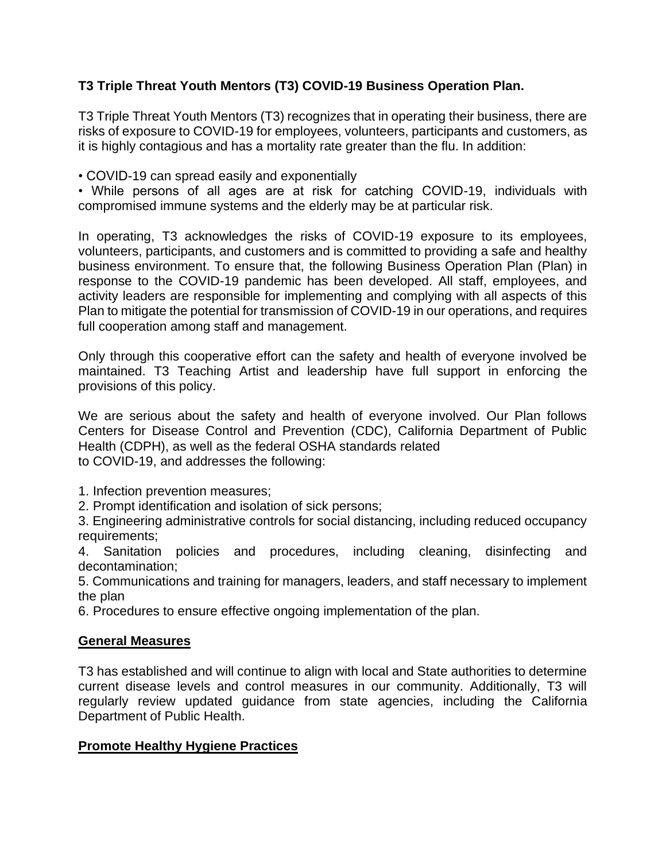# **T3 Triple Threat Youth Mentors (T3) COVID-19 Business Operation Plan.**

T3 Triple Threat Youth Mentors (T3) recognizes that in operating their business, there are risks of exposure to COVID-19 for employees, volunteers, participants and customers, as it is highly contagious and has a mortality rate greater than the flu. In addition:

• COVID-19 can spread easily and exponentially

• While persons of all ages are at risk for catching COVID-19, individuals with compromised immune systems and the elderly may be at particular risk.

In operating, T3 acknowledges the risks of COVID-19 exposure to its employees, volunteers, participants, and customers and is committed to providing a safe and healthy business environment. To ensure that, the following Business Operation Plan (Plan) in response to the COVID-19 pandemic has been developed. All staff, employees, and activity leaders are responsible for implementing and complying with all aspects of this Plan to mitigate the potential for transmission of COVID-19 in our operations, and requires full cooperation among staff and management.

Only through this cooperative effort can the safety and health of everyone involved be maintained. T3 Teaching Artist and leadership have full support in enforcing the provisions of this policy.

We are serious about the safety and health of everyone involved. Our Plan follows Centers for Disease Control and Prevention (CDC), California Department of Public Health (CDPH), as well as the federal OSHA standards related to COVID-19, and addresses the following:

1. Infection prevention measures;

2. Prompt identification and isolation of sick persons;

3. Engineering administrative controls for social distancing, including reduced occupancy requirements;

4. Sanitation policies and procedures, including cleaning, disinfecting and decontamination;

5. Communications and training for managers, leaders, and staff necessary to implement the plan

6. Procedures to ensure effective ongoing implementation of the plan.

# **General Measures**

T3 has established and will continue to align with local and State authorities to determine current disease levels and control measures in our community. Additionally, T3 will regularly review updated guidance from state agencies, including the California Department of Public Health.

# **Promote Healthy Hygiene Practices**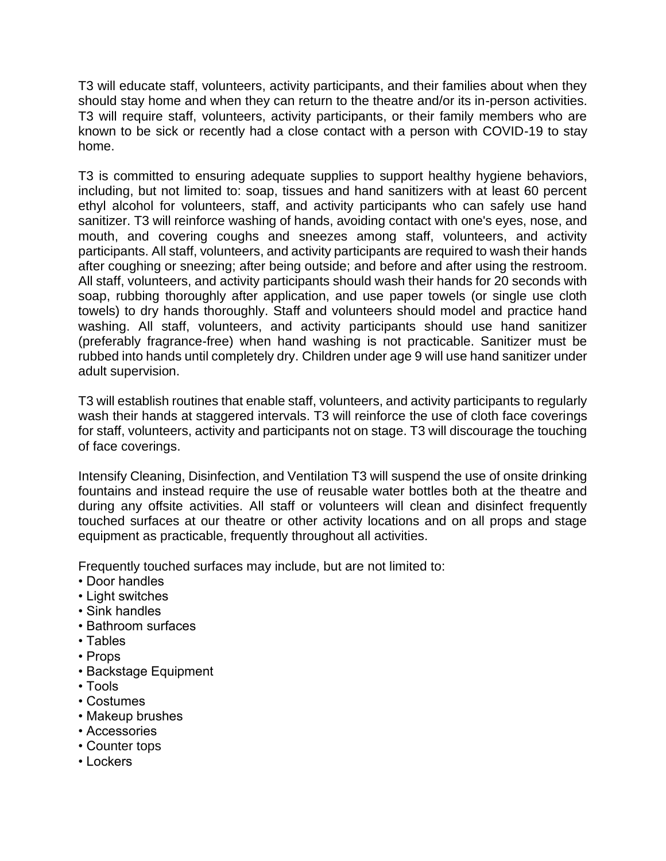T3 will educate staff, volunteers, activity participants, and their families about when they should stay home and when they can return to the theatre and/or its in-person activities. T3 will require staff, volunteers, activity participants, or their family members who are known to be sick or recently had a close contact with a person with COVID-19 to stay home.

T3 is committed to ensuring adequate supplies to support healthy hygiene behaviors, including, but not limited to: soap, tissues and hand sanitizers with at least 60 percent ethyl alcohol for volunteers, staff, and activity participants who can safely use hand sanitizer. T3 will reinforce washing of hands, avoiding contact with one's eyes, nose, and mouth, and covering coughs and sneezes among staff, volunteers, and activity participants. All staff, volunteers, and activity participants are required to wash their hands after coughing or sneezing; after being outside; and before and after using the restroom. All staff, volunteers, and activity participants should wash their hands for 20 seconds with soap, rubbing thoroughly after application, and use paper towels (or single use cloth towels) to dry hands thoroughly. Staff and volunteers should model and practice hand washing. All staff, volunteers, and activity participants should use hand sanitizer (preferably fragrance-free) when hand washing is not practicable. Sanitizer must be rubbed into hands until completely dry. Children under age 9 will use hand sanitizer under adult supervision.

T3 will establish routines that enable staff, volunteers, and activity participants to regularly wash their hands at staggered intervals. T3 will reinforce the use of cloth face coverings for staff, volunteers, activity and participants not on stage. T3 will discourage the touching of face coverings.

Intensify Cleaning, Disinfection, and Ventilation T3 will suspend the use of onsite drinking fountains and instead require the use of reusable water bottles both at the theatre and during any offsite activities. All staff or volunteers will clean and disinfect frequently touched surfaces at our theatre or other activity locations and on all props and stage equipment as practicable, frequently throughout all activities.

Frequently touched surfaces may include, but are not limited to:

- Door handles
- Light switches
- Sink handles
- Bathroom surfaces
- Tables
- Props
- Backstage Equipment
- Tools
- Costumes
- Makeup brushes
- Accessories
- Counter tops
- Lockers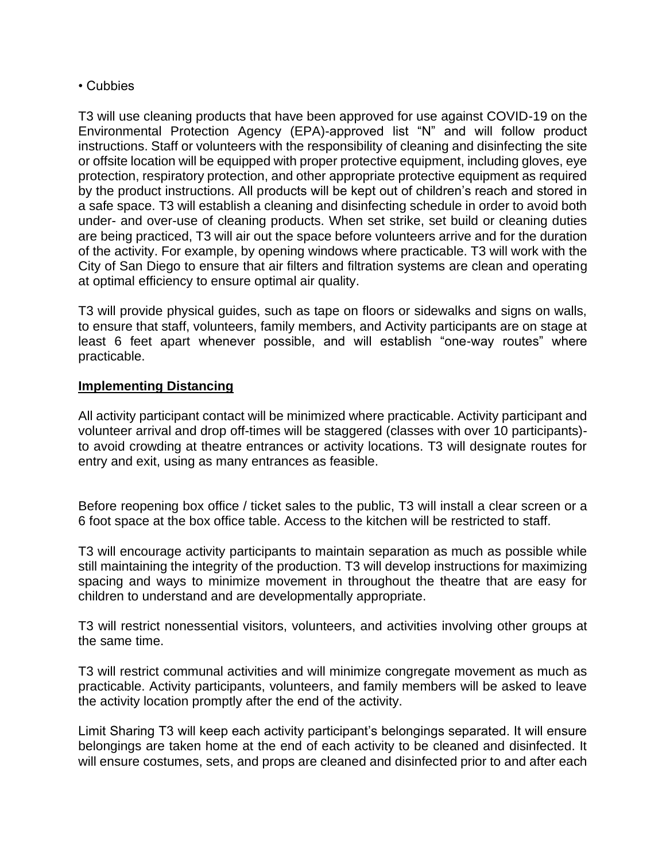#### • Cubbies

T3 will use cleaning products that have been approved for use against COVID-19 on the Environmental Protection Agency (EPA)-approved list "N" and will follow product instructions. Staff or volunteers with the responsibility of cleaning and disinfecting the site or offsite location will be equipped with proper protective equipment, including gloves, eye protection, respiratory protection, and other appropriate protective equipment as required by the product instructions. All products will be kept out of children's reach and stored in a safe space. T3 will establish a cleaning and disinfecting schedule in order to avoid both under- and over-use of cleaning products. When set strike, set build or cleaning duties are being practiced, T3 will air out the space before volunteers arrive and for the duration of the activity. For example, by opening windows where practicable. T3 will work with the City of San Diego to ensure that air filters and filtration systems are clean and operating at optimal efficiency to ensure optimal air quality.

T3 will provide physical guides, such as tape on floors or sidewalks and signs on walls, to ensure that staff, volunteers, family members, and Activity participants are on stage at least 6 feet apart whenever possible, and will establish "one-way routes" where practicable.

#### **Implementing Distancing**

All activity participant contact will be minimized where practicable. Activity participant and volunteer arrival and drop off-times will be staggered (classes with over 10 participants) to avoid crowding at theatre entrances or activity locations. T3 will designate routes for entry and exit, using as many entrances as feasible.

Before reopening box office / ticket sales to the public, T3 will install a clear screen or a 6 foot space at the box office table. Access to the kitchen will be restricted to staff.

T3 will encourage activity participants to maintain separation as much as possible while still maintaining the integrity of the production. T3 will develop instructions for maximizing spacing and ways to minimize movement in throughout the theatre that are easy for children to understand and are developmentally appropriate.

T3 will restrict nonessential visitors, volunteers, and activities involving other groups at the same time.

T3 will restrict communal activities and will minimize congregate movement as much as practicable. Activity participants, volunteers, and family members will be asked to leave the activity location promptly after the end of the activity.

Limit Sharing T3 will keep each activity participant's belongings separated. It will ensure belongings are taken home at the end of each activity to be cleaned and disinfected. It will ensure costumes, sets, and props are cleaned and disinfected prior to and after each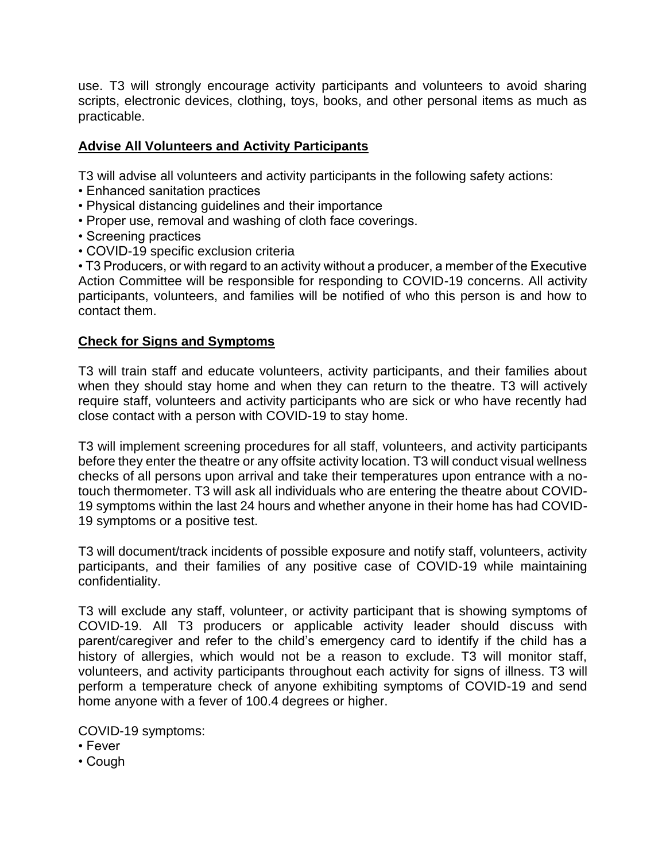use. T3 will strongly encourage activity participants and volunteers to avoid sharing scripts, electronic devices, clothing, toys, books, and other personal items as much as practicable.

# **Advise All Volunteers and Activity Participants**

T3 will advise all volunteers and activity participants in the following safety actions:

- Enhanced sanitation practices
- Physical distancing guidelines and their importance
- Proper use, removal and washing of cloth face coverings.
- Screening practices
- COVID-19 specific exclusion criteria

• T3 Producers, or with regard to an activity without a producer, a member of the Executive Action Committee will be responsible for responding to COVID-19 concerns. All activity participants, volunteers, and families will be notified of who this person is and how to contact them.

### **Check for Signs and Symptoms**

T3 will train staff and educate volunteers, activity participants, and their families about when they should stay home and when they can return to the theatre. T3 will actively require staff, volunteers and activity participants who are sick or who have recently had close contact with a person with COVID-19 to stay home.

T3 will implement screening procedures for all staff, volunteers, and activity participants before they enter the theatre or any offsite activity location. T3 will conduct visual wellness checks of all persons upon arrival and take their temperatures upon entrance with a notouch thermometer. T3 will ask all individuals who are entering the theatre about COVID-19 symptoms within the last 24 hours and whether anyone in their home has had COVID-19 symptoms or a positive test.

T3 will document/track incidents of possible exposure and notify staff, volunteers, activity participants, and their families of any positive case of COVID-19 while maintaining confidentiality.

T3 will exclude any staff, volunteer, or activity participant that is showing symptoms of COVID-19. All T3 producers or applicable activity leader should discuss with parent/caregiver and refer to the child's emergency card to identify if the child has a history of allergies, which would not be a reason to exclude. T3 will monitor staff, volunteers, and activity participants throughout each activity for signs of illness. T3 will perform a temperature check of anyone exhibiting symptoms of COVID-19 and send home anyone with a fever of 100.4 degrees or higher.

COVID-19 symptoms:

- Fever
- Cough